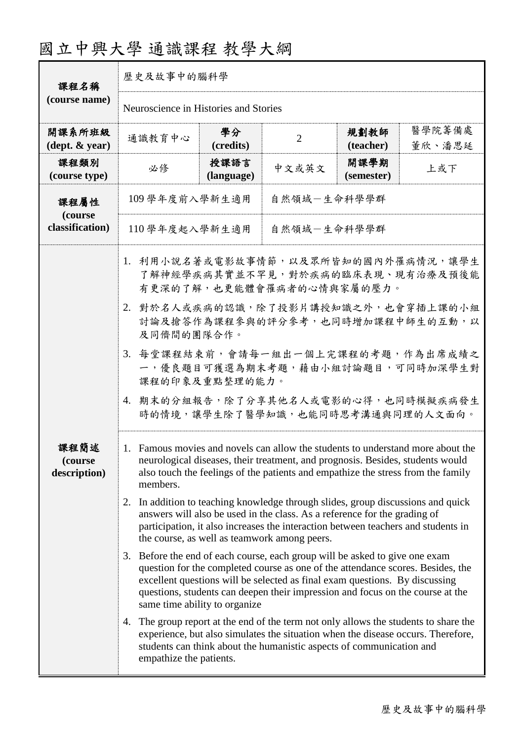|  |  |  |  |  |  |  |  | 國立中興大學 通識課程 教學大綱 |  |  |  |  |
|--|--|--|--|--|--|--|--|------------------|--|--|--|--|
|--|--|--|--|--|--|--|--|------------------|--|--|--|--|

| 課程名稱                                       | 歷史及故事中的腦科學                                                                                                                                                                                                                                                                                                                                                                                                                                                                                                                                                                                                                                                                                                                                                                                                                                                                                                                                                                                                                                                                                                                                                                                                                                                                                                                                                |                                       |                |                    |                  |  |  |  |  |
|--------------------------------------------|-----------------------------------------------------------------------------------------------------------------------------------------------------------------------------------------------------------------------------------------------------------------------------------------------------------------------------------------------------------------------------------------------------------------------------------------------------------------------------------------------------------------------------------------------------------------------------------------------------------------------------------------------------------------------------------------------------------------------------------------------------------------------------------------------------------------------------------------------------------------------------------------------------------------------------------------------------------------------------------------------------------------------------------------------------------------------------------------------------------------------------------------------------------------------------------------------------------------------------------------------------------------------------------------------------------------------------------------------------------|---------------------------------------|----------------|--------------------|------------------|--|--|--|--|
| (course name)                              |                                                                                                                                                                                                                                                                                                                                                                                                                                                                                                                                                                                                                                                                                                                                                                                                                                                                                                                                                                                                                                                                                                                                                                                                                                                                                                                                                           | Neuroscience in Histories and Stories |                |                    |                  |  |  |  |  |
| 開課系所班級<br>$(\text{dept.} \& \text{ year})$ | 通識教育中心                                                                                                                                                                                                                                                                                                                                                                                                                                                                                                                                                                                                                                                                                                                                                                                                                                                                                                                                                                                                                                                                                                                                                                                                                                                                                                                                                    | 學分<br>(credits)                       | $\overline{2}$ | 規劃教師<br>(teacher)  | 醫學院籌備處<br>董欣、潘思延 |  |  |  |  |
| 課程類別<br>(course type)                      | 必修                                                                                                                                                                                                                                                                                                                                                                                                                                                                                                                                                                                                                                                                                                                                                                                                                                                                                                                                                                                                                                                                                                                                                                                                                                                                                                                                                        | 授課語言<br>(language)                    | 中文或英文          | 開課學期<br>(semester) |                  |  |  |  |  |
| 課程屬性<br>(course                            | 109 學年度前入學新生適用<br>自然領域-生命科學學群                                                                                                                                                                                                                                                                                                                                                                                                                                                                                                                                                                                                                                                                                                                                                                                                                                                                                                                                                                                                                                                                                                                                                                                                                                                                                                                             |                                       |                |                    |                  |  |  |  |  |
| classification)                            |                                                                                                                                                                                                                                                                                                                                                                                                                                                                                                                                                                                                                                                                                                                                                                                                                                                                                                                                                                                                                                                                                                                                                                                                                                                                                                                                                           |                                       |                |                    |                  |  |  |  |  |
| 課程簡述<br>(course)<br>description)           | 110學年度起入學新生適用<br>自然領域-生命科學學群<br>1. 利用小說名著或電影故事情節,以及眾所皆知的國內外罹病情況,讓學生<br>了解神經學疾病其實並不罕見,對於疾病的臨床表現、現有治療及預後能<br>有更深的了解,也更能體會罹病者的心情與家屬的壓力。<br>2. 對於名人或疾病的認識,除了投影片講授知識之外,也會穿插上課的小組<br>討論及搶答作為課程參與的評分參考,也同時增加課程中師生的互動,以<br>及同儕間的團隊合作。<br>3. 每堂課程結束前,會請每一組出一個上完課程的考題,作為出席成績之<br>一,優良題目可獲選為期末考題,藉由小組討論題目,可同時加深學生對<br>課程的印象及重點整理的能力。<br>4. 期末的分組報告,除了分享其他名人或電影的心得,也同時模擬疾病發生<br>時的情境,讓學生除了醫學知識,也能同時思考溝通與同理的人文面向。<br>1. Famous movies and novels can allow the students to understand more about the<br>neurological diseases, their treatment, and prognosis. Besides, students would<br>also touch the feelings of the patients and empathize the stress from the family<br>members.<br>In addition to teaching knowledge through slides, group discussions and quick<br>2.<br>answers will also be used in the class. As a reference for the grading of<br>participation, it also increases the interaction between teachers and students in<br>the course, as well as teamwork among peers.<br>Before the end of each course, each group will be asked to give one exam<br>3.<br>question for the completed course as one of the attendance scores. Besides, the<br>excellent questions will be selected as final exam questions. By discussing<br>questions, students can deepen their impression and focus on the course at the<br>same time ability to organize |                                       |                |                    |                  |  |  |  |  |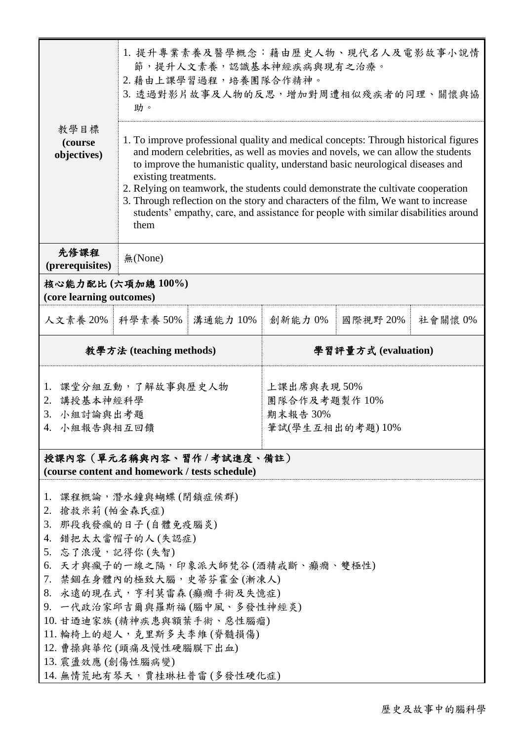|                                                                                                                                   | 1. 提升專業素養及醫學概念:藉由歷史人物、現代名人及電影故事小說情<br>節,提升人文素養,認識基本神經疾病與現有之治療。<br>2. 藉由上課學習過程,培養團隊合作精神。<br>3. 透過對影片故事及人物的反思,增加對周遭相似殘疾者的同理、關懷與協<br>助。                                                                                                                                                                                                                                                                                                                                                                                                                     |                          |         |                     |         |  |  |  |
|-----------------------------------------------------------------------------------------------------------------------------------|----------------------------------------------------------------------------------------------------------------------------------------------------------------------------------------------------------------------------------------------------------------------------------------------------------------------------------------------------------------------------------------------------------------------------------------------------------------------------------------------------------------------------------------------------------|--------------------------|---------|---------------------|---------|--|--|--|
| 教學目標<br>(course<br>objectives)                                                                                                    | 1. To improve professional quality and medical concepts: Through historical figures<br>and modern celebrities, as well as movies and novels, we can allow the students<br>to improve the humanistic quality, understand basic neurological diseases and<br>existing treatments.<br>2. Relying on teamwork, the students could demonstrate the cultivate cooperation<br>3. Through reflection on the story and characters of the film, We want to increase<br>students' empathy, care, and assistance for people with similar disabilities around<br>them |                          |         |                     |         |  |  |  |
| 先修課程<br>(prerequisites)                                                                                                           | 無(None)                                                                                                                                                                                                                                                                                                                                                                                                                                                                                                                                                  |                          |         |                     |         |  |  |  |
| 核心能力配比(六項加總100%)<br>(core learning outcomes)                                                                                      |                                                                                                                                                                                                                                                                                                                                                                                                                                                                                                                                                          |                          |         |                     |         |  |  |  |
| 人文素養 20%   科學素養 50%                                                                                                               |                                                                                                                                                                                                                                                                                                                                                                                                                                                                                                                                                          | 溝通能力 10%                 | 創新能力 0% | 國際視野 20%            | 社會關懷 0% |  |  |  |
|                                                                                                                                   | 教學方法 (teaching methods)                                                                                                                                                                                                                                                                                                                                                                                                                                                                                                                                  |                          |         | 學習評量方式 (evaluation) |         |  |  |  |
| 課堂分組互動,了解故事與歷史人物<br>上課出席與表現 50%<br>1.<br>2. 講授基本神經科學<br>團隊合作及考題製作10%<br>3. 小組討論與出考題<br>期末報告30%<br>4. 小組報告與相互回饋<br>筆試(學生互相出的考題)10% |                                                                                                                                                                                                                                                                                                                                                                                                                                                                                                                                                          |                          |         |                     |         |  |  |  |
|                                                                                                                                   |                                                                                                                                                                                                                                                                                                                                                                                                                                                                                                                                                          |                          |         |                     |         |  |  |  |
| (course content and homework / tests schedule)                                                                                    |                                                                                                                                                                                                                                                                                                                                                                                                                                                                                                                                                          | 授課內容(單元名稱與內容、習作/考試進度、備註) |         |                     |         |  |  |  |